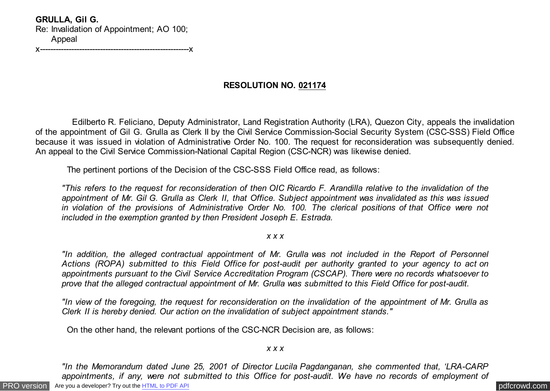**GRULLA, Gil G.** Re: Invalidation of Appointment; AO 100; Appeal

x---------------------------------------------------------x

# **RESOLUTION NO. 021174**

 Edilberto R. Feliciano, Deputy Administrator, Land Registration Authority (LRA), Quezon City, appeals the invalidation of the appointment of Gil G. Grulla as Clerk II by the Civil Service Commission-Social Security System (CSC-SSS) Field Office because it was issued in violation of Administrative Order No. 100. The request for reconsideration was subsequently denied. An appeal to the Civil Service Commission-National Capital Region (CSC-NCR) was likewise denied.

The pertinent portions of the Decision of the CSC-SSS Field Office read, as follows:

*"This refers to the request for reconsideration of then OIC Ricardo F. Arandilla relative to the invalidation of the appointment of Mr. Gil G. Grulla as Clerk II, that Office. Subject appointment was invalidated as this was issued in violation of the provisions of Administrative Order No. 100. The clerical positions of that Office were not included in the exemption granted by then President Joseph E. Estrada.*

## *x x x*

*"In addition, the alleged contractual appointment of Mr. Grulla was not included in the Report of Personnel Actions (ROPA) submitted to this Field Office for post-audit per authority granted to your agency to act on appointments pursuant to the Civil Service Accreditation Program (CSCAP). There were no records whatsoever to prove that the alleged contractual appointment of Mr. Grulla was submitted to this Field Office for post-audit.*

*"In view of the foregoing, the request for reconsideration on the invalidation of the appointment of Mr. Grulla as Clerk II is hereby denied. Our action on the invalidation of subject appointment stands."*

On the other hand, the relevant portions of the CSC-NCR Decision are, as follows:

## *x x x*

*"In the Memorandum dated June 25, 2001 of Director Lucila Pagdanganan, she commented that, 'LRA-CARP appointments, if any, were not submitted to this Office for post-audit. We have no records of employment of*

[PRO version](http://pdfcrowd.com/customize/) Are you a developer? Try out th[e HTML to PDF API](http://pdfcrowd.com/html-to-pdf-api/?ref=pdf) process and the example of the state of the state of the state of the state of the state of the state of the state of the state of the state of the state of the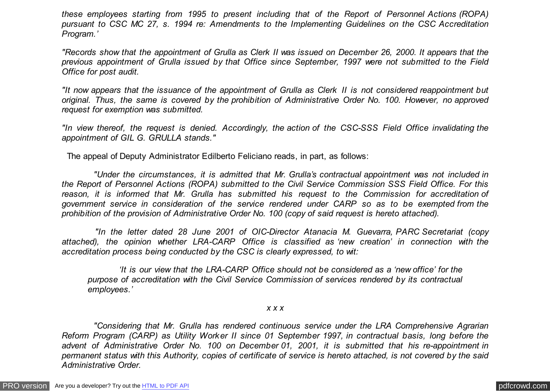*these employees starting from 1995 to present including that of the Report of Personnel Actions (ROPA) pursuant to CSC MC 27, s. 1994 re: Amendments to the Implementing Guidelines on the CSC Accreditation Program.'*

*"Records show that the appointment of Grulla as Clerk II was issued on December 26, 2000. It appears that the previous appointment of Grulla issued by that Office since September, 1997 were not submitted to the Field Office for post audit.*

*"It now appears that the issuance of the appointment of Grulla as Clerk II is not considered reappointment but original. Thus, the same is covered by the prohibition of Administrative Order No. 100. However, no approved request for exemption was submitted.*

*"In view thereof, the request is denied. Accordingly, the action of the CSC-SSS Field Office invalidating the appointment of GIL G. GRULLA stands."*

The appeal of Deputy Administrator Edilberto Feliciano reads, in part, as follows:

 *"Under the circumstances, it is admitted that Mr. Grulla's contractual appointment was not included in the Report of Personnel Actions (ROPA) submitted to the Civil Service Commission SSS Field Office. For this reason, it is informed that Mr. Grulla has submitted his request to the Commission for accreditation of government service in consideration of the service rendered under CARP so as to be exempted from the prohibition of the provision of Administrative Order No. 100 (copy of said request is hereto attached).*

 *"In the letter dated 28 June 2001 of OIC-Director Atanacia M. Guevarra, PARC Secretariat (copy attached), the opinion whether LRA-CARP Office is classified as 'new creation' in connection with the accreditation process being conducted by the CSC is clearly expressed, to wit:*

 *'It is our view that the LRA-CARP Office should not be considered as a 'new office' for the purpose of accreditation with the Civil Service Commission of services rendered by its contractual employees.'*

*x x x*

 *"Considering that Mr. Grulla has rendered continuous service under the LRA Comprehensive Agrarian Reform Program (CARP) as Utility Worker II since 01 September 1997, in contractual basis, long before the advent of Administrative Order No. 100 on December 01, 2001, it is submitted that his re-appointment in permanent status with this Authority, copies of certificate of service is hereto attached, is not covered by the said Administrative Order.*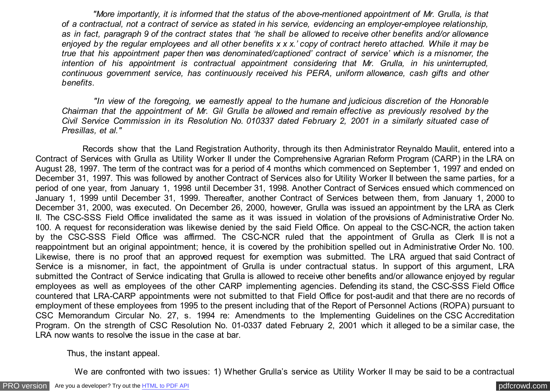*"More importantly, it is informed that the status of the above-mentioned appointment of Mr. Grulla, is that of a contractual, not a contract of service as stated in his service, evidencing an employer-employee relationship, as in fact, paragraph 9 of the contract states that 'he shall be allowed to receive other benefits and/or allowance enjoyed by the regular employees and all other benefits x x x.' copy of contract hereto attached. While it may be true that his appointment paper then was denominated/captioned' contract of service' which is a misnomer, the intention of his appointment is contractual appointment considering that Mr. Grulla, in his uninterrupted, continuous government service, has continuously received his PERA, uniform allowance, cash gifts and other benefits.*

 *"In view of the foregoing, we earnestly appeal to the humane and judicious discretion of the Honorable Chairman that the appointment of Mr. Gil Grulla be allowed and remain effective as previously resolved by the Civil Service Commission in its Resolution No. 010337 dated February 2, 2001 in a similarly situated case of Presillas, et al."*

 Records show that the Land Registration Authority, through its then Administrator Reynaldo Maulit, entered into a Contract of Services with Grulla as Utility Worker II under the Comprehensive Agrarian Reform Program (CARP) in the LRA on August 28, 1997. The term of the contract was for a period of 4 months which commenced on September 1, 1997 and ended on December 31, 1997. This was followed by another Contract of Services also for Utility Worker II between the same parties, for a period of one year, from January 1, 1998 until December 31, 1998. Another Contract of Services ensued which commenced on January 1, 1999 until December 31, 1999. Thereafter, another Contract of Services between them, from January 1, 2000 to December 31, 2000, was executed. On December 26, 2000, however, Grulla was issued an appointment by the LRA as Clerk II. The CSC-SSS Field Office invalidated the same as it was issued in violation of the provisions of Administrative Order No. 100. A request for reconsideration was likewise denied by the said Field Office. On appeal to the CSC-NCR, the action taken by the CSC-SSS Field Office was affirmed. The CSC-NCR ruled that the appointment of Grulla as Clerk II is not a reappointment but an original appointment; hence, it is covered by the prohibition spelled out in Administrative Order No. 100. Likewise, there is no proof that an approved request for exemption was submitted. The LRA argued that said Contract of Service is a misnomer, in fact, the appointment of Grulla is under contractual status. In support of this argument, LRA submitted the Contract of Service indicating that Grulla is allowed to receive other benefits and/or allowance enjoyed by regular employees as well as employees of the other CARP implementing agencies. Defending its stand, the CSC-SSS Field Office countered that LRA-CARP appointments were not submitted to that Field Office for post-audit and that there are no records of employment of these employees from 1995 to the present including that of the Report of Personnel Actions (ROPA) pursuant to CSC Memorandum Circular No. 27, s. 1994 re: Amendments to the Implementing Guidelines on the CSC Accreditation Program. On the strength of CSC Resolution No. 01-0337 dated February 2, 2001 which it alleged to be a similar case, the LRA now wants to resolve the issue in the case at bar.

Thus, the instant appeal.

We are confronted with two issues: 1) Whether Grulla's service as Utility Worker II may be said to be a contractual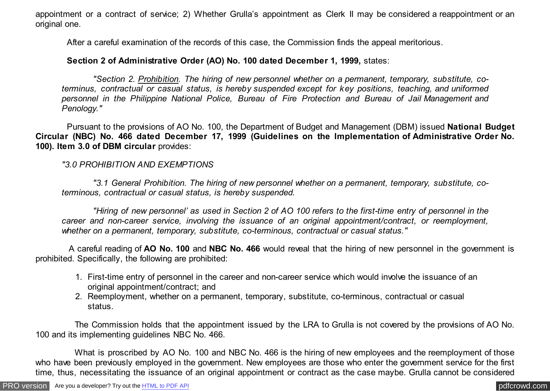appointment or a contract of service; 2) Whether Grulla's appointment as Clerk II may be considered a reappointment or an original one.

After a careful examination of the records of this case, the Commission finds the appeal meritorious.

## **Section 2 of Administrative Order (AO) No. 100 dated December 1, 1999,** states:

 *"Section 2. Prohibition. The hiring of new personnel whether on a permanent, temporary, substitute, coterminus, contractual or casual status, is hereby suspended except for key positions, teaching, and uniformed personnel in the Philippine National Police, Bureau of Fire Protection and Bureau of Jail Management and Penology."*

 Pursuant to the provisions of AO No. 100, the Department of Budget and Management (DBM) issued **National Budget Circular (NBC) No. 466 dated December 17, 1999 (Guidelines on the Implementation of Administrative Order No. 100). Item 3.0 of DBM circular** provides:

# *"3.0 PROHIBITION AND EXEMPTIONS*

 *"3.1 General Prohibition. The hiring of new personnel whether on a permanent, temporary, substitute, coterminous, contractual or casual status, is hereby suspended.*

 *"Hiring of new personnel' as used in Section 2 of AO 100 refers to the first-time entry of personnel in the career and non-career service, involving the issuance of an original appointment/contract, or reemployment, whether on a permanent, temporary, substitute, co-terminous, contractual or casual status."*

 A careful reading of **AO No. 100** and **NBC No. 466** would reveal that the hiring of new personnel in the government is prohibited. Specifically, the following are prohibited:

- 1. First-time entry of personnel in the career and non-career service which would involve the issuance of an original appointment/contract; and
- 2. Reemployment, whether on a permanent, temporary, substitute, co-terminous, contractual or casual status.

 The Commission holds that the appointment issued by the LRA to Grulla is not covered by the provisions of AO No. 100 and its implementing guidelines NBC No. 466.

What is proscribed by AO No. 100 and NBC No. 466 is the hiring of new employees and the reemployment of those who have been previously employed in the government. New employees are those who enter the government service for the first time, thus, necessitating the issuance of an original appointment or contract as the case maybe. Grulla cannot be considered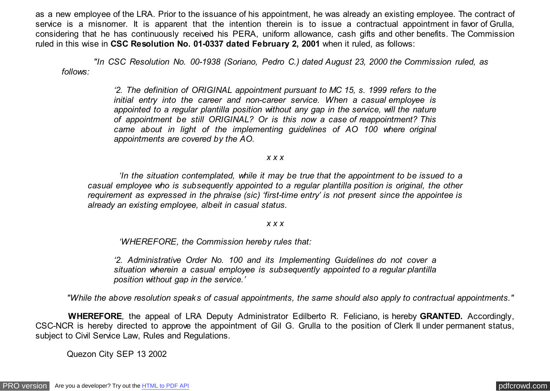as a new employee of the LRA. Prior to the issuance of his appointment, he was already an existing employee. The contract of service is a misnomer. It is apparent that the intention therein is to issue a contractual appointment in favor of Grulla, considering that he has continuously received his PERA, uniform allowance, cash gifts and other benefits. The Commission ruled in this wise in **CSC Resolution No. 01-0337 dated February 2, 2001** when it ruled, as follows:

 *"In CSC Resolution No. 00-1938 (Soriano, Pedro C.) dated August 23, 2000 the Commission ruled, as follows:*

> *'2. The definition of ORIGINAL appointment pursuant to MC 15, s. 1999 refers to the initial entry into the career and non-career service. When a casual employee is appointed to a regular plantilla position without any gap in the service, will the nature of appointment be still ORIGINAL? Or is this now a case of reappointment? This came about in light of the implementing guidelines of AO 100 where original appointments are covered by the AO.*

### *x x x*

 *'In the situation contemplated, while it may be true that the appointment to be issued to a casual employee who is subsequently appointed to a regular plantilla position is original, the other requirement as expressed in the phraise (sic) 'first-time entry' is not present since the appointee is already an existing employee, albeit in casual status.*

#### *x x x*

 *'WHEREFORE, the Commission hereby rules that:*

*'2. Administrative Order No. 100 and its Implementing Guidelines do not cover a situation wherein a casual employee is subsequently appointed to a regular plantilla position without gap in the service.'*

 *"While the above resolution speaks of casual appointments, the same should also apply to contractual appointments."*

 **WHEREFORE**, the appeal of LRA Deputy Administrator Edilberto R. Feliciano, is hereby **GRANTED.** Accordingly, CSC-NCR is hereby directed to approve the appointment of Gil G. Grulla to the position of Clerk II under permanent status, subject to Civil Service Law, Rules and Regulations.

Quezon City SEP 13 2002